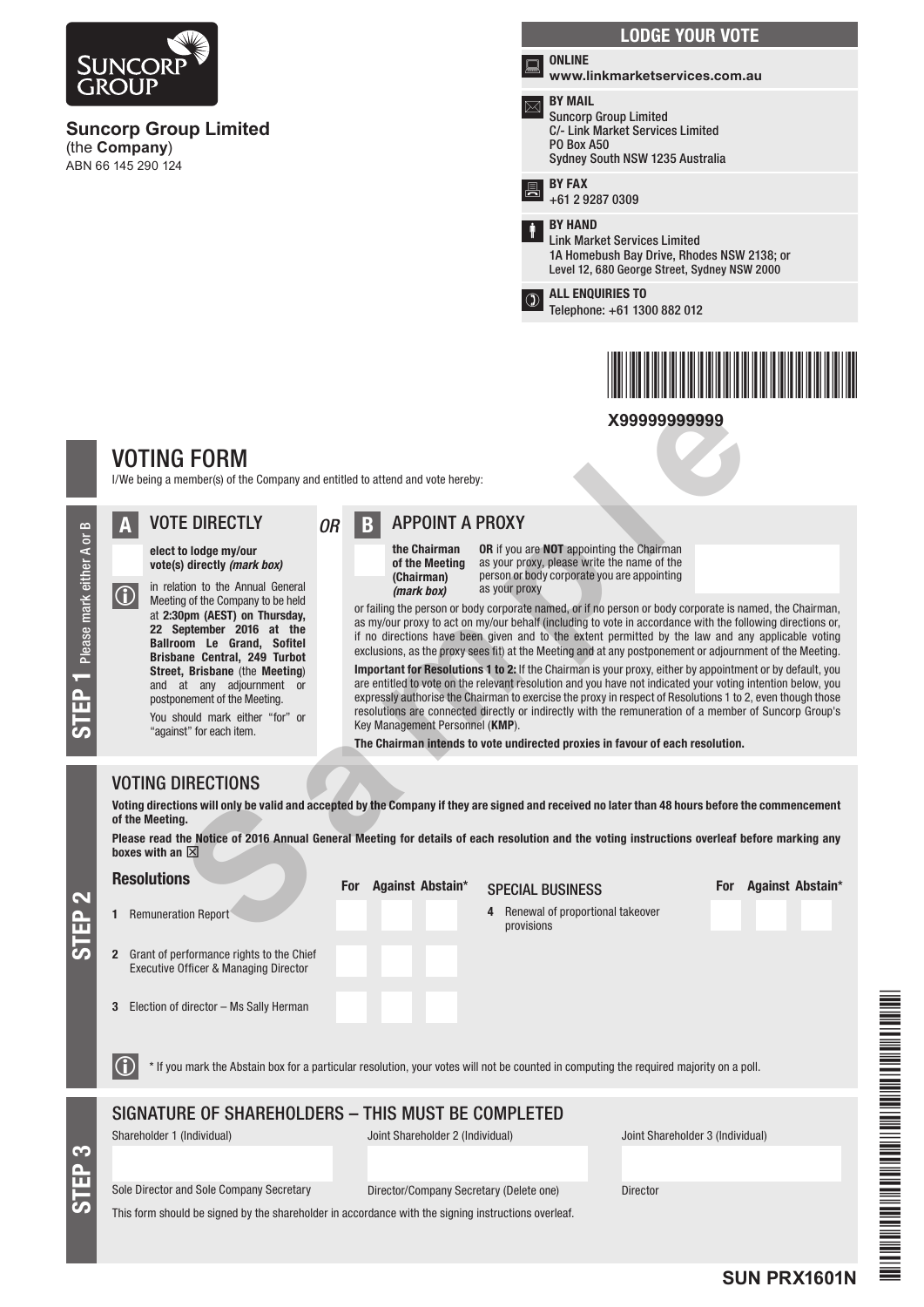

3 Election of director – Ms Sally Herman

\* If you mark the Abstain box for a particular resolution, your votes will not be counted in computing the required majority on a poll.

## SIGNATURE OF SHAREHOLDERS – THIS MUST BE COMPLETED

STEP 3

Shareholder 1 (Individual) Joint Shareholder 2 (Individual) Joint Shareholder 3 (Individual)

Sole Director and Sole Company Secretary Director/Company Secretary (Delete one) Director

This form should be signed by the shareholder in accordance with the signing instructions overleaf.